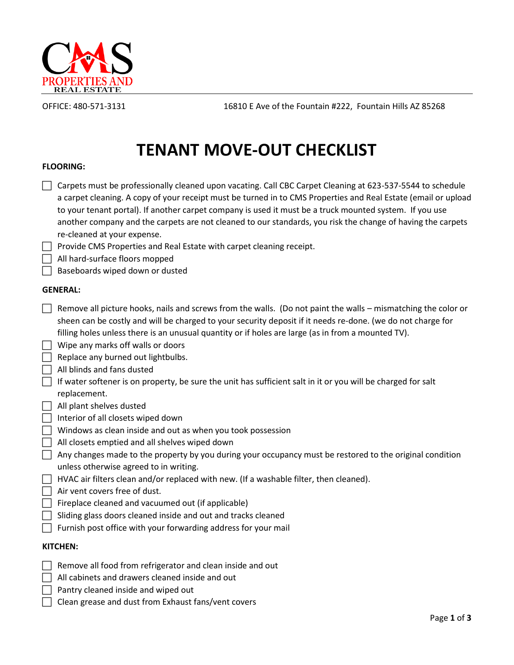

OFFICE: 480-571-3131 16810 E Ave of the Fountain #222, Fountain Hills AZ 85268

# **TENANT MOVE-OUT CHECKLIST**

## **FLOORING:**

| $\mathbf{L}$<br>L            | Carpets must be professionally cleaned upon vacating. Call CBC Carpet Cleaning at 623-537-5544 to schedule<br>a carpet cleaning. A copy of your receipt must be turned in to CMS Properties and Real Estate (email or upload<br>to your tenant portal). If another carpet company is used it must be a truck mounted system. If you use<br>another company and the carpets are not cleaned to our standards, you risk the change of having the carpets<br>re-cleaned at your expense.<br>Provide CMS Properties and Real Estate with carpet cleaning receipt.<br>All hard-surface floors mopped<br>Baseboards wiped down or dusted |  |
|------------------------------|------------------------------------------------------------------------------------------------------------------------------------------------------------------------------------------------------------------------------------------------------------------------------------------------------------------------------------------------------------------------------------------------------------------------------------------------------------------------------------------------------------------------------------------------------------------------------------------------------------------------------------|--|
| <b>GENERAL:</b>              |                                                                                                                                                                                                                                                                                                                                                                                                                                                                                                                                                                                                                                    |  |
| $\mathbf{L}$<br>$\mathbf{L}$ | Remove all picture hooks, nails and screws from the walls. (Do not paint the walls – mismatching the color or<br>sheen can be costly and will be charged to your security deposit if it needs re-done. (we do not charge for<br>filling holes unless there is an unusual quantity or if holes are large (as in from a mounted TV).<br>Wipe any marks off walls or doors                                                                                                                                                                                                                                                            |  |
|                              |                                                                                                                                                                                                                                                                                                                                                                                                                                                                                                                                                                                                                                    |  |
|                              | Replace any burned out lightbulbs.                                                                                                                                                                                                                                                                                                                                                                                                                                                                                                                                                                                                 |  |
|                              | All blinds and fans dusted                                                                                                                                                                                                                                                                                                                                                                                                                                                                                                                                                                                                         |  |
|                              | If water softener is on property, be sure the unit has sufficient salt in it or you will be charged for salt                                                                                                                                                                                                                                                                                                                                                                                                                                                                                                                       |  |
|                              | replacement.                                                                                                                                                                                                                                                                                                                                                                                                                                                                                                                                                                                                                       |  |

- $\Box$  All plant shelves dusted
- $\Box$  Interior of all closets wiped down
- Windows as clean inside and out as when you took possession
- $\Box$  All closets emptied and all shelves wiped down
- $\Box$  Any changes made to the property by you during your occupancy must be restored to the original condition unless otherwise agreed to in writing.
- $\Box$  HVAC air filters clean and/or replaced with new. (If a washable filter, then cleaned).
- $\Box$  Air vent covers free of dust.
- $\Box$  Fireplace cleaned and vacuumed out (if applicable)
- $\Box$  Sliding glass doors cleaned inside and out and tracks cleaned
- $\Box$  Furnish post office with your forwarding address for your mail

# **KITCHEN:**

- Remove all food from refrigerator and clean inside and out
- $\Box$  All cabinets and drawers cleaned inside and out
- $\Box$  Pantry cleaned inside and wiped out
- Clean grease and dust from Exhaust fans/vent covers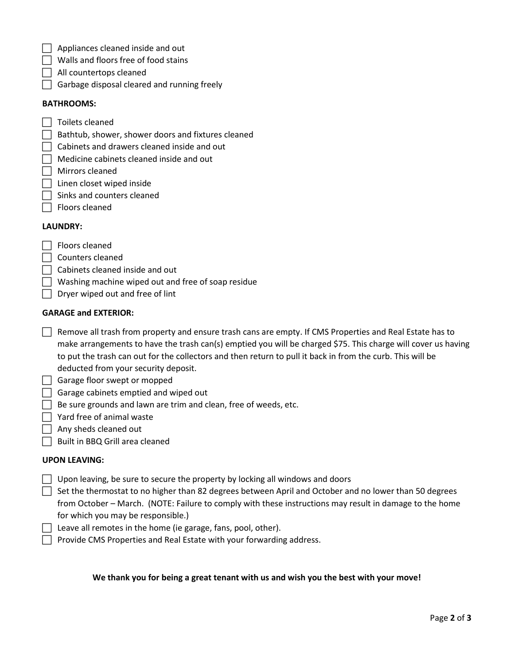- $\Box$  Appliances cleaned inside and out
- $\Box$  Walls and floors free of food stains
- All countertops cleaned
- $\Box$  Garbage disposal cleared and running freely

#### **BATHROOMS:**

- $\Box$  Toilets cleaned
- $\Box$  Bathtub, shower, shower doors and fixtures cleaned
- $\Box$  Cabinets and drawers cleaned inside and out
- $\Box$  Medicine cabinets cleaned inside and out
- Mirrors cleaned
- | Linen closet wiped inside
- $\Box$  Sinks and counters cleaned
- $\Box$  Floors cleaned

#### **LAUNDRY:**

- $\Box$  Floors cleaned
- $\Box$  Counters cleaned
- $\Box$  Cabinets cleaned inside and out
- $\Box$  Washing machine wiped out and free of soap residue
- $\Box$  Dryer wiped out and free of lint

## **GARAGE and EXTERIOR:**

- $\Box$  Remove all trash from property and ensure trash cans are empty. If CMS Properties and Real Estate has to make arrangements to have the trash can(s) emptied you will be charged \$75. This charge will cover us having to put the trash can out for the collectors and then return to pull it back in from the curb. This will be deducted from your security deposit.
- $\Box$  Garage floor swept or mopped
- $\Box$  Garage cabinets emptied and wiped out
- $\Box$  Be sure grounds and lawn are trim and clean, free of weeds, etc.
- $\Box$  Yard free of animal waste
- $\Box$  Any sheds cleaned out
- Built in BBQ Grill area cleaned

#### **UPON LEAVING:**

- $\Box$  Upon leaving, be sure to secure the property by locking all windows and doors
- $\Box$  Set the thermostat to no higher than 82 degrees between April and October and no lower than 50 degrees from October – March. (NOTE: Failure to comply with these instructions may result in damage to the home for which you may be responsible.)
- $\Box$  Leave all remotes in the home (ie garage, fans, pool, other).
- $\Box$  Provide CMS Properties and Real Estate with your forwarding address.

#### **We thank you for being a great tenant with us and wish you the best with your move!**